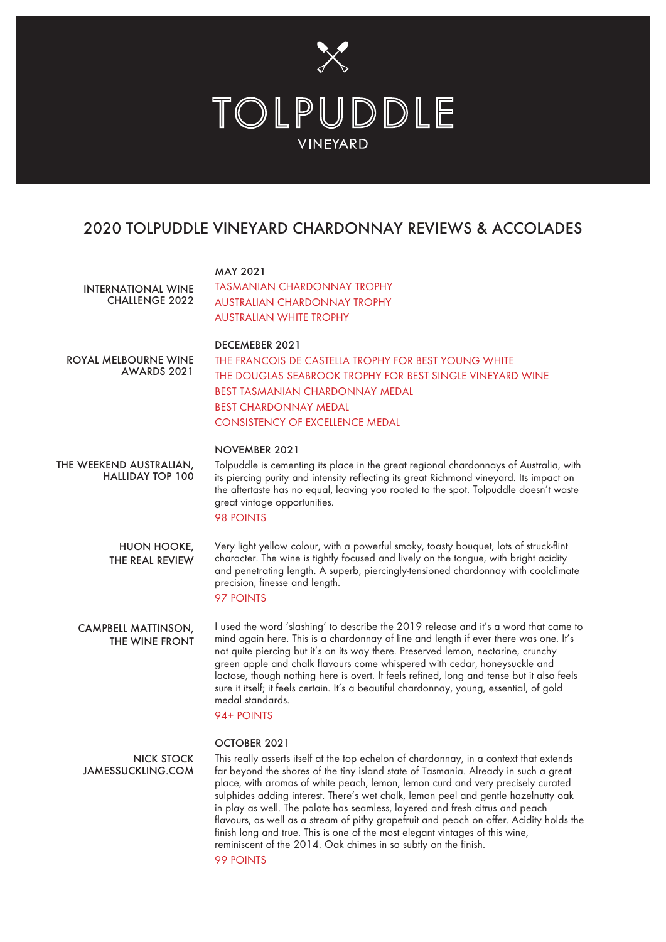

## 2020 TOLPUDDLE VINEYARD CHARDONNAY REVIEWS & ACCOLADES

| <b>INTERNATIONAL WINE</b><br><b>CHALLENGE 2022</b> | <b>MAY 2021</b><br><b>TASMANIAN CHARDONNAY TROPHY</b><br>AUSTRALIAN CHARDONNAY TROPHY<br><b>AUSTRALIAN WHITE TROPHY</b>                                                                                                                                                                                                                                                                                                                                                                                                                                                                                                                                                              |
|----------------------------------------------------|--------------------------------------------------------------------------------------------------------------------------------------------------------------------------------------------------------------------------------------------------------------------------------------------------------------------------------------------------------------------------------------------------------------------------------------------------------------------------------------------------------------------------------------------------------------------------------------------------------------------------------------------------------------------------------------|
| ROYAL MELBOURNE WINE<br>AWARDS 2021                | <b>DECEMEBER 2021</b><br>THE FRANCOIS DE CASTELLA TROPHY FOR BEST YOUNG WHITE<br>THE DOUGLAS SEABROOK TROPHY FOR BEST SINGLE VINEYARD WINE<br><b>BEST TASMANIAN CHARDONNAY MEDAL</b><br><b>BEST CHARDONNAY MEDAL</b><br><b>CONSISTENCY OF EXCELLENCE MEDAL</b>                                                                                                                                                                                                                                                                                                                                                                                                                       |
|                                                    | NOVEMBER 2021                                                                                                                                                                                                                                                                                                                                                                                                                                                                                                                                                                                                                                                                        |
| THE WEEKEND AUSTRALIAN,<br><b>HALLIDAY TOP 100</b> | Tolpuddle is cementing its place in the great regional chardonnays of Australia, with<br>its piercing purity and intensity reflecting its great Richmond vineyard. Its impact on<br>the aftertaste has no equal, leaving you rooted to the spot. Tolpuddle doesn't waste<br>great vintage opportunities.<br>98 POINTS                                                                                                                                                                                                                                                                                                                                                                |
| HUON HOOKE,<br>THE REAL REVIEW                     | Very light yellow colour, with a powerful smoky, toasty bouquet, lots of struck-flint<br>character. The wine is tightly focused and lively on the tongue, with bright acidity<br>and penetrating length. A superb, piercingly-tensioned chardonnay with coolclimate<br>precision, finesse and length.<br>97 POINTS                                                                                                                                                                                                                                                                                                                                                                   |
| <b>CAMPBELL MATTINSON,</b><br>THE WINE FRONT       | I used the word 'slashing' to describe the 2019 release and it's a word that came to<br>mind again here. This is a chardonnay of line and length if ever there was one. It's<br>not quite piercing but it's on its way there. Preserved lemon, nectarine, crunchy<br>green apple and chalk flavours come whispered with cedar, honeysuckle and<br>lactose, though nothing here is overt. It feels refined, long and tense but it also feels<br>sure it itself; it feels certain. It's a beautiful chardonnay, young, essential, of gold<br>medal standards.<br>94+ POINTS                                                                                                            |
|                                                    | OCTOBER 2021                                                                                                                                                                                                                                                                                                                                                                                                                                                                                                                                                                                                                                                                         |
| <b>NICK STOCK</b><br><b>JAMESSUCKLING.COM</b>      | This really asserts itself at the top echelon of chardonnay, in a context that extends<br>far beyond the shores of the tiny island state of Tasmania. Already in such a great<br>place, with aromas of white peach, lemon, lemon curd and very precisely curated<br>sulphides adding interest. There's wet chalk, lemon peel and gentle hazelnutty oak<br>in play as well. The palate has seamless, layered and fresh citrus and peach<br>flavours, as well as a stream of pithy grapefruit and peach on offer. Acidity holds the<br>finish long and true. This is one of the most elegant vintages of this wine,<br>reminiscent of the 2014. Oak chimes in so subtly on the finish. |

99 POINTS